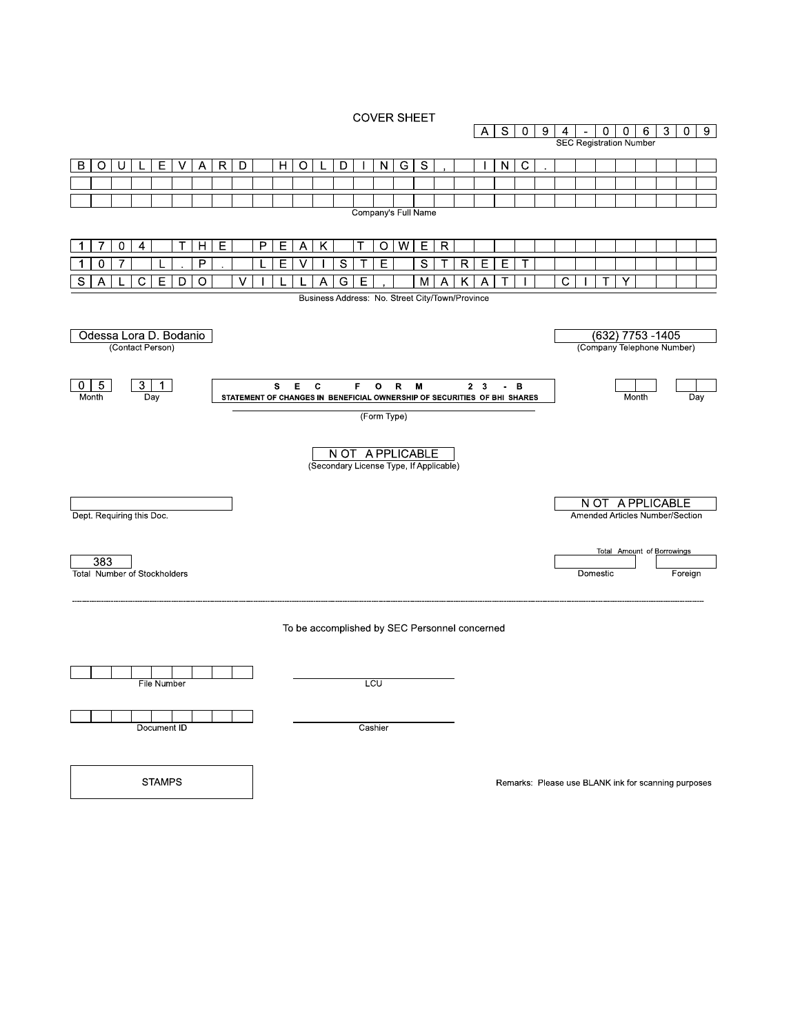**COVER SHEET** 



**STAMPS** 

Remarks: Please use BLANK ink for scanning purposes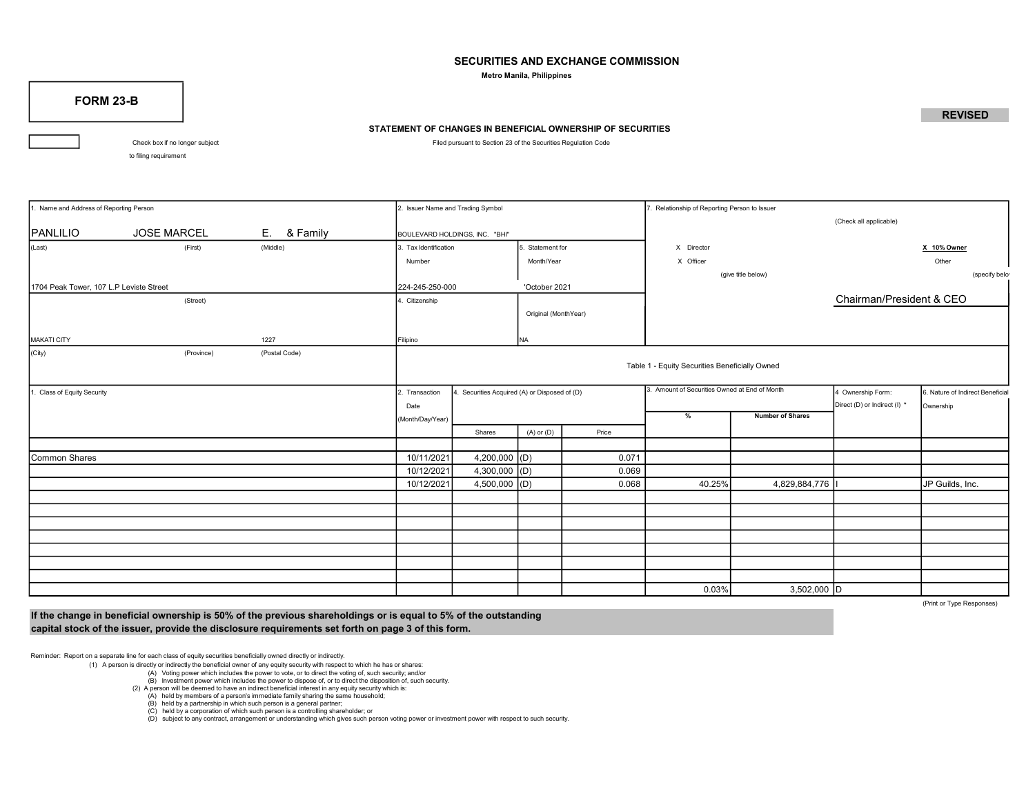### SECURITIES AND EXCHANGE COMMISSION

Metro Manila, Philippines

FORM 23-B

# STATEMENT OF CHANGES IN BENEFICIAL OWNERSHIP OF SECURITIES

Check box if no longer subject **Filed pursuant to Section 23 of the Securities Regulation Code** 

to filing requirement

Name and Address of Reporting Person 2. Issuer Name and Trading Symbol 2. Issuer Name and Trading Symbol 2. Issuer Name and Trading Symbol 2. Issuer Name and Trading Symbol 2. Issuer Name and Trading Symbol 2. Issuer Name (Check all applicable) PANLILIO **Solution DUSE MARCEL E.** & Family **BOULEVARD HOLDINGS, INC.** "BHI" (Last) (First) (Middle) 3. Tax Identification 5. Statement for National Section X 10% Owner Number **Month/Year Month/Year X** Officer **X** Officer **Month** Cuber (give title below) (specify below) 1704 Peak Tower, 107 L.P Leviste Street 224-245-250-000 'October 2021 (Street) **A.** Citizenship Chairman/President & CEO Original (MonthYear) MAKATI CITY 1227 Filipino NA (City) (Province) (Postal Code) Table 1 - Equity Securities Beneficially Owned 1. Class of Equity Security Security Security 2. Transaction 4. Securities Acquired (A) or Disposed of (D) 3. Amount of Securities Owned at End of Month 4 Ownership Form: 6. Nature of Indirect Beneficial Direct (D) or Indirect (I) \* Ownership (Month/Day/Year) % Number of Shares Shares (A) or (D) Price Common Shares 10.071 10/11/2021 4,200,000 (D) 0.071 10/12/2021 4,300,000 (D) 0.069 10/12/2021 4,500,000 (D) 0.068 40.25% 4,829,884,776 I JP Guilds, Inc. 0.03% 3.502.000 D 3. Amount of Securities Owned at End of Month

(Print or Type Responses)

If the change in beneficial ownership is 50% of the previous shareholdings or is equal to 5% of the outstanding capital stock of the issuer, provide the disclosure requirements set forth on page 3 of this form.

Reminder: Report on a separate line for each class of equity securities beneficially owned directly or indirectly.

(1) A person is directly or indirectly the beneficial owner of any equity security with respect to which he has or shares:

(A) Voting power which includes the power to vote, or to direct the voting of, such security; and/or

(B) Investment power which includes the power to dispose of, or to direct the disposition of, such security.

(2) A person will be deemed to have an indirect beneficial interest in any equity security which is:

(A) held by members of a person's immediate family sharing the same household;

 $(B)$  held by a partnership in which such person is a general partner;

(C) held by a corporation of which such person is a controlling shareholder; or

(D) subject to any contract, arrangement or understanding which gives such person voting power or investment power with respect to such security.

## **REVISED**